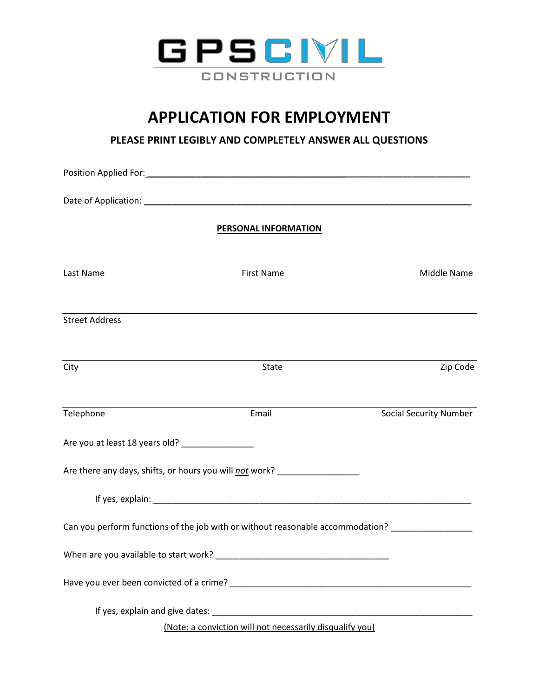

## **APPLICATION FOR EMPLOYMENT**

**PLEASE PRINT LEGIBLY AND COMPLETELY ANSWER ALL QUESTIONS**

| <b>PERSONAL INFORMATION</b>           |                                                                                                                                                                          |                               |  |  |                       |                   |             |
|---------------------------------------|--------------------------------------------------------------------------------------------------------------------------------------------------------------------------|-------------------------------|--|--|-----------------------|-------------------|-------------|
|                                       |                                                                                                                                                                          |                               |  |  | Last Name             | <b>First Name</b> | Middle Name |
|                                       |                                                                                                                                                                          |                               |  |  | <b>Street Address</b> |                   |             |
| City                                  | State                                                                                                                                                                    | Zip Code                      |  |  |                       |                   |             |
| Telephone                             | Email                                                                                                                                                                    | <b>Social Security Number</b> |  |  |                       |                   |             |
|                                       |                                                                                                                                                                          |                               |  |  |                       |                   |             |
|                                       | Are there any days, shifts, or hours you will not work? ________________________                                                                                         |                               |  |  |                       |                   |             |
|                                       |                                                                                                                                                                          |                               |  |  |                       |                   |             |
|                                       | Can you perform functions of the job with or without reasonable accommodation? [100] [10] Can you perform functions of the job with or without reasonable accommodation? |                               |  |  |                       |                   |             |
| When are you available to start work? |                                                                                                                                                                          |                               |  |  |                       |                   |             |
|                                       |                                                                                                                                                                          |                               |  |  |                       |                   |             |
|                                       |                                                                                                                                                                          |                               |  |  |                       |                   |             |
|                                       | (Note: a conviction will not necessarily disqualify you)                                                                                                                 |                               |  |  |                       |                   |             |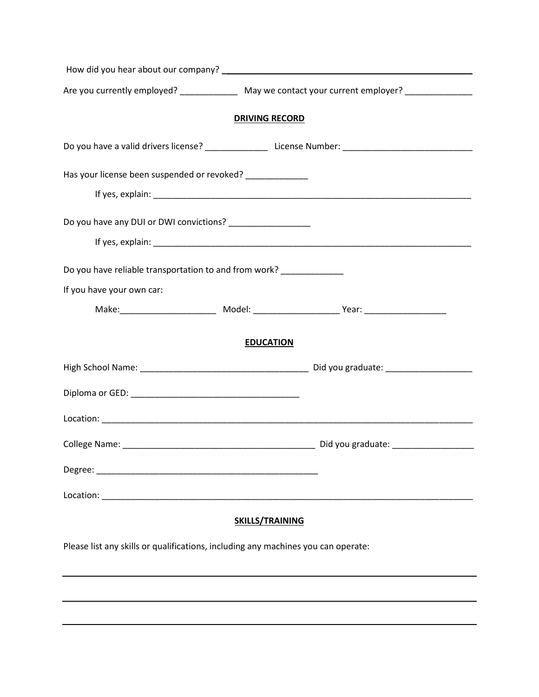|                                                                                                                | Are you currently employed? _______________ May we contact your current employer? _________________ |  |  |  |
|----------------------------------------------------------------------------------------------------------------|-----------------------------------------------------------------------------------------------------|--|--|--|
|                                                                                                                | <b>DRIVING RECORD</b>                                                                               |  |  |  |
| Do you have a valid drivers license? _______________________License Number: __________________________________ |                                                                                                     |  |  |  |
| Has your license been suspended or revoked? _____________                                                      |                                                                                                     |  |  |  |
|                                                                                                                |                                                                                                     |  |  |  |
| Do you have any DUI or DWI convictions? __________________                                                     |                                                                                                     |  |  |  |
|                                                                                                                |                                                                                                     |  |  |  |
| Do you have reliable transportation to and from work? ____________                                             |                                                                                                     |  |  |  |
| If you have your own car:                                                                                      |                                                                                                     |  |  |  |
|                                                                                                                |                                                                                                     |  |  |  |
|                                                                                                                | <b>EDUCATION</b>                                                                                    |  |  |  |
|                                                                                                                |                                                                                                     |  |  |  |
|                                                                                                                |                                                                                                     |  |  |  |
|                                                                                                                |                                                                                                     |  |  |  |
|                                                                                                                |                                                                                                     |  |  |  |
|                                                                                                                |                                                                                                     |  |  |  |
|                                                                                                                |                                                                                                     |  |  |  |
| <b>SKILLS/TRAINING</b>                                                                                         |                                                                                                     |  |  |  |
| Please list any skills or qualifications, including any machines you can operate:                              |                                                                                                     |  |  |  |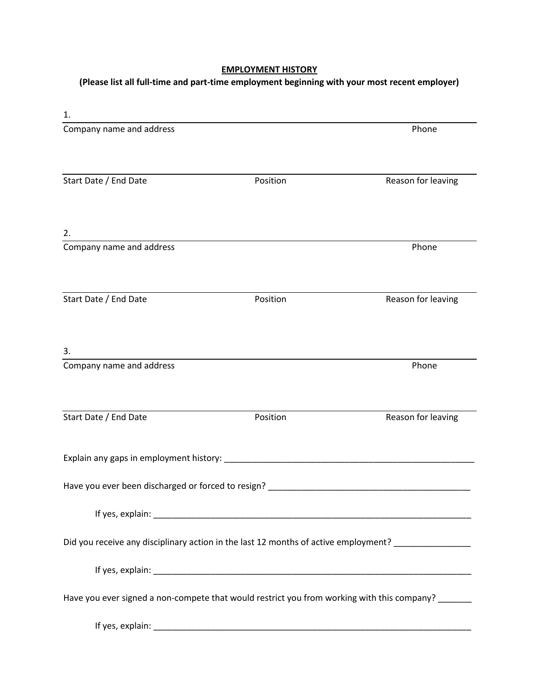## **EMPLOYMENT HISTORY**

## **(Please list all full-time and part-time employment beginning with your most recent employer)**

| 1.                                                                                                 |          |                    |
|----------------------------------------------------------------------------------------------------|----------|--------------------|
| Company name and address                                                                           |          | Phone              |
| Start Date / End Date                                                                              | Position | Reason for leaving |
| 2.<br>Company name and address                                                                     |          | Phone              |
| Start Date / End Date                                                                              | Position | Reason for leaving |
| 3.<br>Company name and address                                                                     |          | Phone              |
|                                                                                                    |          |                    |
| Start Date / End Date                                                                              | Position | Reason for leaving |
|                                                                                                    |          |                    |
| Have you ever been discharged or forced to resign? _____________________________                   |          |                    |
|                                                                                                    |          |                    |
| Did you receive any disciplinary action in the last 12 months of active employment? ______________ |          |                    |
|                                                                                                    |          |                    |
| Have you ever signed a non-compete that would restrict you from working with this company? ______  |          |                    |
|                                                                                                    |          |                    |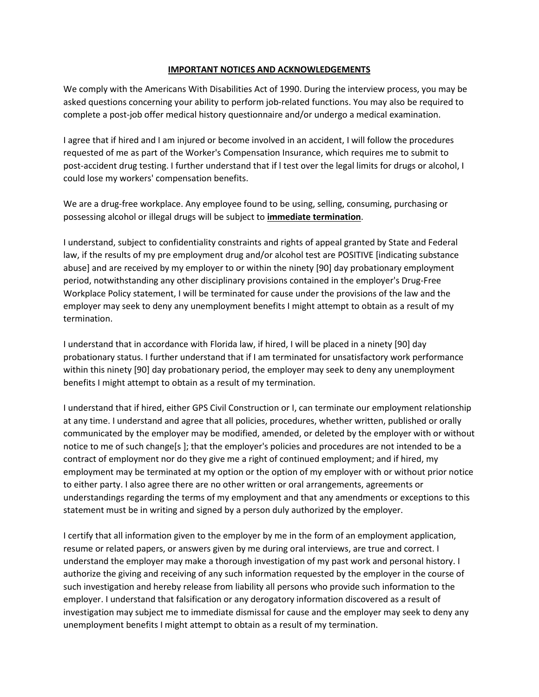## **IMPORTANT NOTICES AND ACKNOWLEDGEMENTS**

We comply with the Americans With Disabilities Act of 1990. During the interview process, you may be asked questions concerning your ability to perform job-related functions. You may also be required to complete a post-job offer medical history questionnaire and/or undergo a medical examination.

I agree that if hired and I am injured or become involved in an accident, I will follow the procedures requested of me as part of the Worker's Compensation Insurance, which requires me to submit to post-accident drug testing. I further understand that if l test over the legal limits for drugs or alcohol, I could lose my workers' compensation benefits.

We are a drug-free workplace. Any employee found to be using, selling, consuming, purchasing or possessing alcohol or illegal drugs will be subject to **immediate termination**.

I understand, subject to confidentiality constraints and rights of appeal granted by State and Federal law, if the results of my pre employment drug and/or alcohol test are POSITIVE [indicating substance abuse] and are received by my employer to or within the ninety [90] day probationary employment period, notwithstanding any other disciplinary provisions contained in the employer's Drug-Free Workplace Policy statement, I will be terminated for cause under the provisions of the law and the employer may seek to deny any unemployment benefits I might attempt to obtain as a result of my termination.

I understand that in accordance with Florida law, if hired, I will be placed in a ninety [90] day probationary status. I further understand that if I am terminated for unsatisfactory work performance within this ninety [90] day probationary period, the employer may seek to deny any unemployment benefits I might attempt to obtain as a result of my termination.

I understand that if hired, either GPS Civil Construction or I, can terminate our employment relationship at any time. I understand and agree that all policies, procedures, whether written, published or orally communicated by the employer may be modified, amended, or deleted by the employer with or without notice to me of such change[s ]; that the employer's policies and procedures are not intended to be a contract of employment nor do they give me a right of continued employment; and if hired, my employment may be terminated at my option or the option of my employer with or without prior notice to either party. I also agree there are no other written or oral arrangements, agreements or understandings regarding the terms of my employment and that any amendments or exceptions to this statement must be in writing and signed by a person duly authorized by the employer.

I certify that all information given to the employer by me in the form of an employment application, resume or related papers, or answers given by me during oral interviews, are true and correct. I understand the employer may make a thorough investigation of my past work and personal history. I authorize the giving and receiving of any such information requested by the employer in the course of such investigation and hereby release from liability all persons who provide such information to the employer. I understand that falsification or any derogatory information discovered as a result of investigation may subject me to immediate dismissal for cause and the employer may seek to deny any unemployment benefits I might attempt to obtain as a result of my termination.